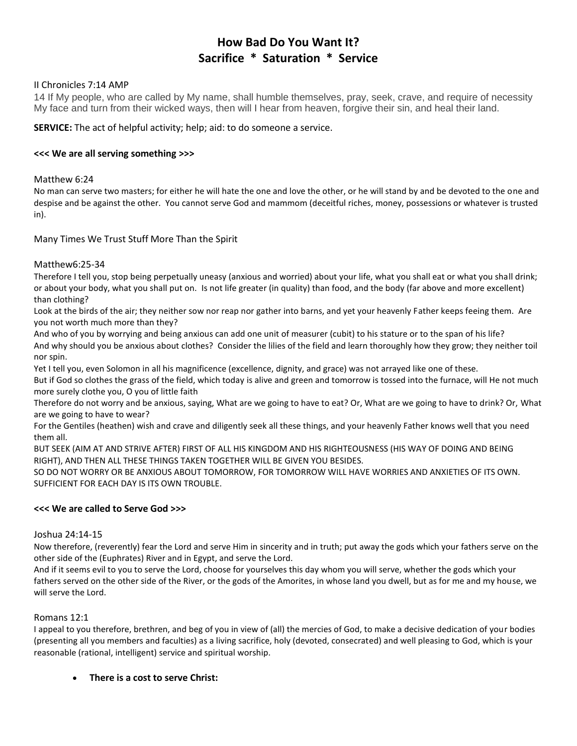# **How Bad Do You Want It? Sacrifice \* Saturation \* Service**

## II Chronicles 7:14 AMP

14 If My people, who are called by My name, shall humble themselves, pray, seek, crave, and require of necessity My face and turn from their wicked ways, then will I hear from heaven, forgive their sin, and heal their land.

**SERVICE:** The act of helpful activity; help; aid: to do someone a service.

## **<<< We are all serving something >>>**

#### Matthew 6:24

No man can serve two masters; for either he will hate the one and love the other, or he will stand by and be devoted to the one and despise and be against the other. You cannot serve God and mammom (deceitful riches, money, possessions or whatever is trusted in).

Many Times We Trust Stuff More Than the Spirit

## Matthew6:25-34

Therefore I tell you, stop being perpetually uneasy (anxious and worried) about your life, what you shall eat or what you shall drink; or about your body, what you shall put on. Is not life greater (in quality) than food, and the body (far above and more excellent) than clothing?

Look at the birds of the air; they neither sow nor reap nor gather into barns, and yet your heavenly Father keeps feeing them. Are you not worth much more than they?

And who of you by worrying and being anxious can add one unit of measurer (cubit) to his stature or to the span of his life? And why should you be anxious about clothes? Consider the lilies of the field and learn thoroughly how they grow; they neither toil nor spin.

Yet I tell you, even Solomon in all his magnificence (excellence, dignity, and grace) was not arrayed like one of these. But if God so clothes the grass of the field, which today is alive and green and tomorrow is tossed into the furnace, will He not much more surely clothe you, O you of little faith

Therefore do not worry and be anxious, saying, What are we going to have to eat? Or, What are we going to have to drink? Or, What are we going to have to wear?

For the Gentiles (heathen) wish and crave and diligently seek all these things, and your heavenly Father knows well that you need them all.

BUT SEEK (AIM AT AND STRIVE AFTER) FIRST OF ALL HIS KINGDOM AND HIS RIGHTEOUSNESS (HIS WAY OF DOING AND BEING RIGHT), AND THEN ALL THESE THINGS TAKEN TOGETHER WILL BE GIVEN YOU BESIDES.

SO DO NOT WORRY OR BE ANXIOUS ABOUT TOMORROW, FOR TOMORROW WILL HAVE WORRIES AND ANXIETIES OF ITS OWN. SUFFICIENT FOR EACH DAY IS ITS OWN TROUBLE.

## **<<< We are called to Serve God >>>**

#### Joshua 24:14-15

Now therefore, (reverently) fear the Lord and serve Him in sincerity and in truth; put away the gods which your fathers serve on the other side of the (Euphrates) River and in Egypt, and serve the Lord.

And if it seems evil to you to serve the Lord, choose for yourselves this day whom you will serve, whether the gods which your fathers served on the other side of the River, or the gods of the Amorites, in whose land you dwell, but as for me and my house, we will serve the Lord.

#### Romans 12:1

I appeal to you therefore, brethren, and beg of you in view of (all) the mercies of God, to make a decisive dedication of your bodies (presenting all you members and faculties) as a living sacrifice, holy (devoted, consecrated) and well pleasing to God, which is your reasonable (rational, intelligent) service and spiritual worship.

**There is a cost to serve Christ:**